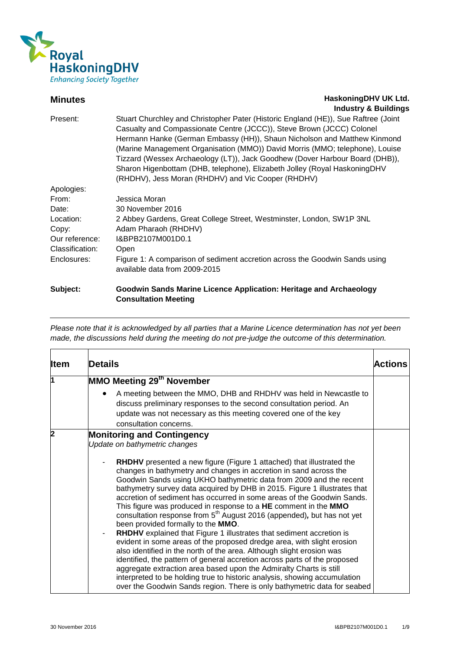

## **Minutes Minutes HaskoningDHV UK Ltd. Industry & Buildings**

| Subject:        | Goodwin Sands Marine Licence Application: Heritage and Archaeology                 |
|-----------------|------------------------------------------------------------------------------------|
|                 | available data from 2009-2015                                                      |
| Enclosures:     | Figure 1: A comparison of sediment accretion across the Goodwin Sands using        |
| Classification: | Open                                                                               |
| Our reference:  | I&BPB2107M001D0.1                                                                  |
| Copy:           | Adam Pharaoh (RHDHV)                                                               |
| Location:       | 2 Abbey Gardens, Great College Street, Westminster, London, SW1P 3NL               |
| Date:           | 30 November 2016                                                                   |
| From:           | Jessica Moran                                                                      |
| Apologies:      |                                                                                    |
|                 | (RHDHV), Jess Moran (RHDHV) and Vic Cooper (RHDHV)                                 |
|                 | Sharon Higenbottam (DHB, telephone), Elizabeth Jolley (Royal HaskoningDHV          |
|                 | Tizzard (Wessex Archaeology (LT)), Jack Goodhew (Dover Harbour Board (DHB)),       |
|                 | (Marine Management Organisation (MMO)) David Morris (MMO; telephone), Louise       |
|                 | Hermann Hanke (German Embassy (HH)), Shaun Nicholson and Matthew Kinmond           |
|                 | Casualty and Compassionate Centre (JCCC)), Steve Brown (JCCC) Colonel              |
| Present:        | Stuart Churchley and Christopher Pater (Historic England (HE)), Sue Raftree (Joint |
|                 | $11199911$ $\sigma$ Danamiq                                                        |

**Consultation Meeting**

| <b>Item</b>             | <b>Details</b>                                                                                                                                                                                                                                                                                                                                                                                                                                                                                                                                                                                                                                                                                                                                                                                                                                                                                                                                                                                                                                                                                                                                                                                    | Actions |
|-------------------------|---------------------------------------------------------------------------------------------------------------------------------------------------------------------------------------------------------------------------------------------------------------------------------------------------------------------------------------------------------------------------------------------------------------------------------------------------------------------------------------------------------------------------------------------------------------------------------------------------------------------------------------------------------------------------------------------------------------------------------------------------------------------------------------------------------------------------------------------------------------------------------------------------------------------------------------------------------------------------------------------------------------------------------------------------------------------------------------------------------------------------------------------------------------------------------------------------|---------|
| 11                      | MMO Meeting 29 <sup>th</sup> November<br>A meeting between the MMO, DHB and RHDHV was held in Newcastle to<br>$\bullet$                                                                                                                                                                                                                                                                                                                                                                                                                                                                                                                                                                                                                                                                                                                                                                                                                                                                                                                                                                                                                                                                           |         |
|                         | discuss preliminary responses to the second consultation period. An<br>update was not necessary as this meeting covered one of the key<br>consultation concerns.                                                                                                                                                                                                                                                                                                                                                                                                                                                                                                                                                                                                                                                                                                                                                                                                                                                                                                                                                                                                                                  |         |
| $\overline{\mathbf{2}}$ | <b>Monitoring and Contingency</b><br>Update on bathymetric changes<br><b>RHDHV</b> presented a new figure (Figure 1 attached) that illustrated the<br>changes in bathymetry and changes in accretion in sand across the<br>Goodwin Sands using UKHO bathymetric data from 2009 and the recent<br>bathymetry survey data acquired by DHB in 2015. Figure 1 illustrates that<br>accretion of sediment has occurred in some areas of the Goodwin Sands.<br>This figure was produced in response to a HE comment in the MMO<br>consultation response from 5 <sup>th</sup> August 2016 (appended), but has not yet<br>been provided formally to the MMO.<br><b>RHDHV</b> explained that Figure 1 illustrates that sediment accretion is<br>evident in some areas of the proposed dredge area, with slight erosion<br>also identified in the north of the area. Although slight erosion was<br>identified, the pattern of general accretion across parts of the proposed<br>aggregate extraction area based upon the Admiralty Charts is still<br>interpreted to be holding true to historic analysis, showing accumulation<br>over the Goodwin Sands region. There is only bathymetric data for seabed |         |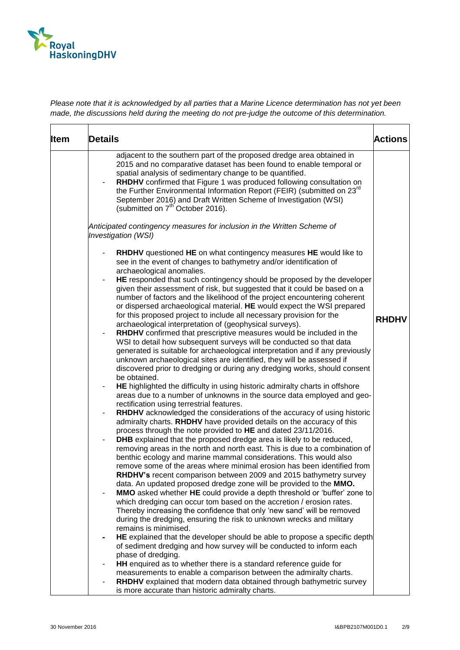

| <b>Item</b> | Details                                                                                                                                                                                                                                                                                                                                                                                                                                                                                                                                                                                                                                                                                                                                                                                                                                                                                                                                                                                                                                                                                                                                                                                                                                                                                                                                                                                                                                                                                                                                                                                                                                                                                                                                                                                                                                                                                                                                                                                                                                                                                                                                                                                                                                                                                                                                                                                                                                                                                                                                                                                                                                                                                                             | <b>Actions</b> |
|-------------|---------------------------------------------------------------------------------------------------------------------------------------------------------------------------------------------------------------------------------------------------------------------------------------------------------------------------------------------------------------------------------------------------------------------------------------------------------------------------------------------------------------------------------------------------------------------------------------------------------------------------------------------------------------------------------------------------------------------------------------------------------------------------------------------------------------------------------------------------------------------------------------------------------------------------------------------------------------------------------------------------------------------------------------------------------------------------------------------------------------------------------------------------------------------------------------------------------------------------------------------------------------------------------------------------------------------------------------------------------------------------------------------------------------------------------------------------------------------------------------------------------------------------------------------------------------------------------------------------------------------------------------------------------------------------------------------------------------------------------------------------------------------------------------------------------------------------------------------------------------------------------------------------------------------------------------------------------------------------------------------------------------------------------------------------------------------------------------------------------------------------------------------------------------------------------------------------------------------------------------------------------------------------------------------------------------------------------------------------------------------------------------------------------------------------------------------------------------------------------------------------------------------------------------------------------------------------------------------------------------------------------------------------------------------------------------------------------------------|----------------|
|             | adjacent to the southern part of the proposed dredge area obtained in<br>2015 and no comparative dataset has been found to enable temporal or<br>spatial analysis of sedimentary change to be quantified.<br>RHDHV confirmed that Figure 1 was produced following consultation on<br>the Further Environmental Information Report (FEIR) (submitted on 23rd<br>September 2016) and Draft Written Scheme of Investigation (WSI)<br>(submitted on 7 <sup>th</sup> October 2016).                                                                                                                                                                                                                                                                                                                                                                                                                                                                                                                                                                                                                                                                                                                                                                                                                                                                                                                                                                                                                                                                                                                                                                                                                                                                                                                                                                                                                                                                                                                                                                                                                                                                                                                                                                                                                                                                                                                                                                                                                                                                                                                                                                                                                                      |                |
|             | Anticipated contingency measures for inclusion in the Written Scheme of<br><b>Investigation (WSI)</b>                                                                                                                                                                                                                                                                                                                                                                                                                                                                                                                                                                                                                                                                                                                                                                                                                                                                                                                                                                                                                                                                                                                                                                                                                                                                                                                                                                                                                                                                                                                                                                                                                                                                                                                                                                                                                                                                                                                                                                                                                                                                                                                                                                                                                                                                                                                                                                                                                                                                                                                                                                                                               |                |
|             | RHDHV questioned HE on what contingency measures HE would like to<br>see in the event of changes to bathymetry and/or identification of<br>archaeological anomalies.<br>HE responded that such contingency should be proposed by the developer<br>given their assessment of risk, but suggested that it could be based on a<br>number of factors and the likelihood of the project encountering coherent<br>or dispersed archaeological material. HE would expect the WSI prepared<br>for this proposed project to include all necessary provision for the<br>archaeological interpretation of (geophysical surveys).<br>RHDHV confirmed that prescriptive measures would be included in the<br>WSI to detail how subsequent surveys will be conducted so that data<br>generated is suitable for archaeological interpretation and if any previously<br>unknown archaeological sites are identified, they will be assessed if<br>discovered prior to dredging or during any dredging works, should consent<br>be obtained.<br>HE highlighted the difficulty in using historic admiralty charts in offshore<br>areas due to a number of unknowns in the source data employed and geo-<br>rectification using terrestrial features.<br>RHDHV acknowledged the considerations of the accuracy of using historic<br>$\blacksquare$<br>admiralty charts. RHDHV have provided details on the accuracy of this<br>process through the note provided to HE and dated 23/11/2016.<br><b>DHB</b> explained that the proposed dredge area is likely to be reduced,<br>removing areas in the north and north east. This is due to a combination of<br>benthic ecology and marine mammal considerations. This would also<br>remove some of the areas where minimal erosion has been identified from<br>RHDHV's recent comparison between 2009 and 2015 bathymetry survey<br>data. An updated proposed dredge zone will be provided to the MMO.<br>MMO asked whether HE could provide a depth threshold or 'buffer' zone to<br>which dredging can occur tom based on the accretion / erosion rates.<br>Thereby increasing the confidence that only 'new sand' will be removed<br>during the dredging, ensuring the risk to unknown wrecks and military<br>remains is minimised.<br>HE explained that the developer should be able to propose a specific depth<br>of sediment dredging and how survey will be conducted to inform each<br>phase of dredging.<br>HH enquired as to whether there is a standard reference guide for<br>measurements to enable a comparison between the admiralty charts.<br>RHDHV explained that modern data obtained through bathymetric survey<br>is more accurate than historic admiralty charts. | <b>RHDHV</b>   |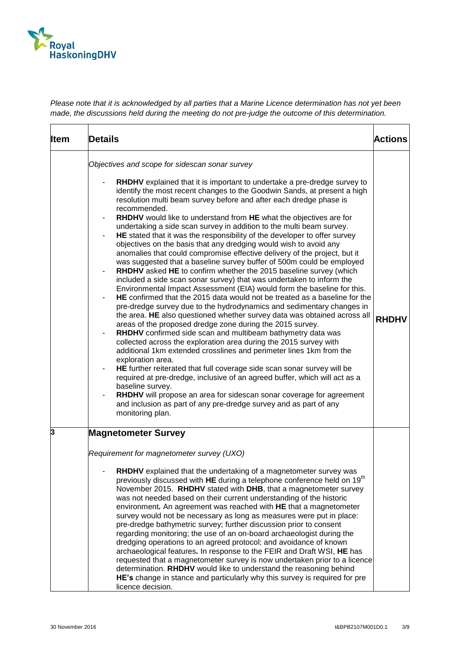

| <b>Item</b> | <b>Details</b>                                                                                                                                                                                                                                                                                                                                                                                                                                                                                                                                                                                                                                                                                                                                                                                                                                                                                                                                                                                                                                                                                                                                                                                                                                                                                                                                                                                                                                                                                                                                                                                                                                                                                                                                                                                                                                           | <b>Actions</b> |
|-------------|----------------------------------------------------------------------------------------------------------------------------------------------------------------------------------------------------------------------------------------------------------------------------------------------------------------------------------------------------------------------------------------------------------------------------------------------------------------------------------------------------------------------------------------------------------------------------------------------------------------------------------------------------------------------------------------------------------------------------------------------------------------------------------------------------------------------------------------------------------------------------------------------------------------------------------------------------------------------------------------------------------------------------------------------------------------------------------------------------------------------------------------------------------------------------------------------------------------------------------------------------------------------------------------------------------------------------------------------------------------------------------------------------------------------------------------------------------------------------------------------------------------------------------------------------------------------------------------------------------------------------------------------------------------------------------------------------------------------------------------------------------------------------------------------------------------------------------------------------------|----------------|
|             | Objectives and scope for sidescan sonar survey<br>RHDHV explained that it is important to undertake a pre-dredge survey to<br>identify the most recent changes to the Goodwin Sands, at present a high<br>resolution multi beam survey before and after each dredge phase is<br>recommended.<br>RHDHV would like to understand from HE what the objectives are for<br>undertaking a side scan survey in addition to the multi beam survey.<br>HE stated that it was the responsibility of the developer to offer survey<br>objectives on the basis that any dredging would wish to avoid any<br>anomalies that could compromise effective delivery of the project, but it<br>was suggested that a baseline survey buffer of 500m could be employed<br>RHDHV asked HE to confirm whether the 2015 baseline survey (which<br>included a side scan sonar survey) that was undertaken to inform the<br>Environmental Impact Assessment (EIA) would form the baseline for this.<br>HE confirmed that the 2015 data would not be treated as a baseline for the<br>pre-dredge survey due to the hydrodynamics and sedimentary changes in<br>the area. HE also questioned whether survey data was obtained across all<br>areas of the proposed dredge zone during the 2015 survey.<br>RHDHV confirmed side scan and multibeam bathymetry data was<br>collected across the exploration area during the 2015 survey with<br>additional 1km extended crosslines and perimeter lines 1km from the<br>exploration area.<br>HE further reiterated that full coverage side scan sonar survey will be<br>required at pre-dredge, inclusive of an agreed buffer, which will act as a<br>baseline survey.<br>RHDHV will propose an area for sidescan sonar coverage for agreement<br>and inclusion as part of any pre-dredge survey and as part of any<br>monitoring plan. | <b>RHDHV</b>   |
| 3           | <b>Magnetometer Survey</b><br>Requirement for magnetometer survey (UXO)<br>RHDHV explained that the undertaking of a magnetometer survey was<br>previously discussed with HE during a telephone conference held on 19 <sup>th</sup><br>November 2015. RHDHV stated with DHB, that a magnetometer survey<br>was not needed based on their current understanding of the historic<br>environment. An agreement was reached with HE that a magnetometer<br>survey would not be necessary as long as measures were put in place:<br>pre-dredge bathymetric survey; further discussion prior to consent<br>regarding monitoring; the use of an on-board archaeologist during the<br>dredging operations to an agreed protocol; and avoidance of known<br>archaeological features. In response to the FEIR and Draft WSI, HE has<br>requested that a magnetometer survey is now undertaken prior to a licence<br>determination. RHDHV would like to understand the reasoning behind<br>HE's change in stance and particularly why this survey is required for pre<br>licence decision.                                                                                                                                                                                                                                                                                                                                                                                                                                                                                                                                                                                                                                                                                                                                                                          |                |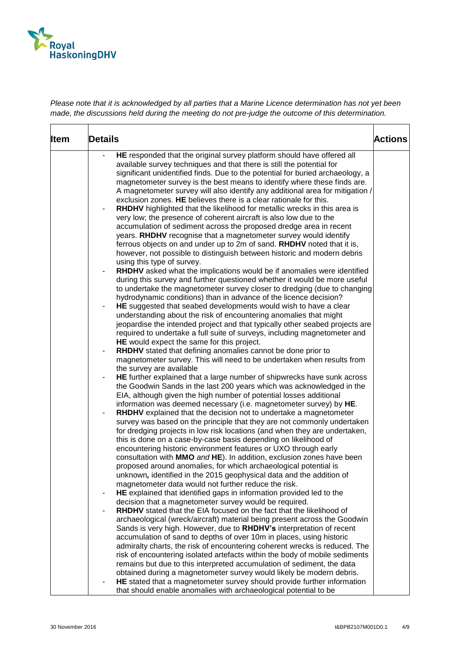

| <b>Item</b> | Details                                                                                                                                         | <b>Actions</b> |
|-------------|-------------------------------------------------------------------------------------------------------------------------------------------------|----------------|
|             | HE responded that the original survey platform should have offered all<br>available survey techniques and that there is still the potential for |                |
|             | significant unidentified finds. Due to the potential for buried archaeology, a                                                                  |                |
|             | magnetometer survey is the best means to identify where these finds are.                                                                        |                |
|             | A magnetometer survey will also identify any additional area for mitigation /                                                                   |                |
|             | exclusion zones. HE believes there is a clear rationale for this.                                                                               |                |
|             | RHDHV highlighted that the likelihood for metallic wrecks in this area is                                                                       |                |
|             | very low; the presence of coherent aircraft is also low due to the                                                                              |                |
|             | accumulation of sediment across the proposed dredge area in recent                                                                              |                |
|             | years. RHDHV recognise that a magnetometer survey would identify                                                                                |                |
|             | ferrous objects on and under up to 2m of sand. RHDHV noted that it is,                                                                          |                |
|             | however, not possible to distinguish between historic and modern debris                                                                         |                |
|             | using this type of survey.                                                                                                                      |                |
|             | RHDHV asked what the implications would be if anomalies were identified                                                                         |                |
|             | during this survey and further questioned whether it would be more useful                                                                       |                |
|             | to undertake the magnetometer survey closer to dredging (due to changing                                                                        |                |
|             | hydrodynamic conditions) than in advance of the licence decision?                                                                               |                |
|             | HE suggested that seabed developments would wish to have a clear                                                                                |                |
|             | understanding about the risk of encountering anomalies that might                                                                               |                |
|             | jeopardise the intended project and that typically other seabed projects are                                                                    |                |
|             | required to undertake a full suite of surveys, including magnetometer and                                                                       |                |
|             | HE would expect the same for this project.                                                                                                      |                |
|             | RHDHV stated that defining anomalies cannot be done prior to                                                                                    |                |
|             | magnetometer survey. This will need to be undertaken when results from<br>the survey are available                                              |                |
|             | HE further explained that a large number of shipwrecks have sunk across<br>-                                                                    |                |
|             | the Goodwin Sands in the last 200 years which was acknowledged in the                                                                           |                |
|             | EIA, although given the high number of potential losses additional                                                                              |                |
|             | information was deemed necessary (i.e. magnetometer survey) by HE.                                                                              |                |
|             | RHDHV explained that the decision not to undertake a magnetometer                                                                               |                |
|             | survey was based on the principle that they are not commonly undertaken                                                                         |                |
|             | for dredging projects in low risk locations (and when they are undertaken,                                                                      |                |
|             | this is done on a case-by-case basis depending on likelihood of                                                                                 |                |
|             | encountering historic environment features or UXO through early                                                                                 |                |
|             | consultation with MMO and HE). In addition, exclusion zones have been                                                                           |                |
|             | proposed around anomalies, for which archaeological potential is                                                                                |                |
|             | unknown, identified in the 2015 geophysical data and the addition of                                                                            |                |
|             | magnetometer data would not further reduce the risk.                                                                                            |                |
|             | HE explained that identified gaps in information provided led to the<br>$\overline{\phantom{a}}$                                                |                |
|             | decision that a magnetometer survey would be required.                                                                                          |                |
|             | <b>RHDHV</b> stated that the EIA focused on the fact that the likelihood of                                                                     |                |
|             | archaeological (wreck/aircraft) material being present across the Goodwin                                                                       |                |
|             | Sands is very high. However, due to RHDHV's interpretation of recent                                                                            |                |
|             | accumulation of sand to depths of over 10m in places, using historic                                                                            |                |
|             | admiralty charts, the risk of encountering coherent wrecks is reduced. The                                                                      |                |
|             | risk of encountering isolated artefacts within the body of mobile sediments                                                                     |                |
|             | remains but due to this interpreted accumulation of sediment, the data                                                                          |                |
|             | obtained during a magnetometer survey would likely be modern debris.                                                                            |                |
|             | HE stated that a magnetometer survey should provide further information                                                                         |                |
|             | that should enable anomalies with archaeological potential to be                                                                                |                |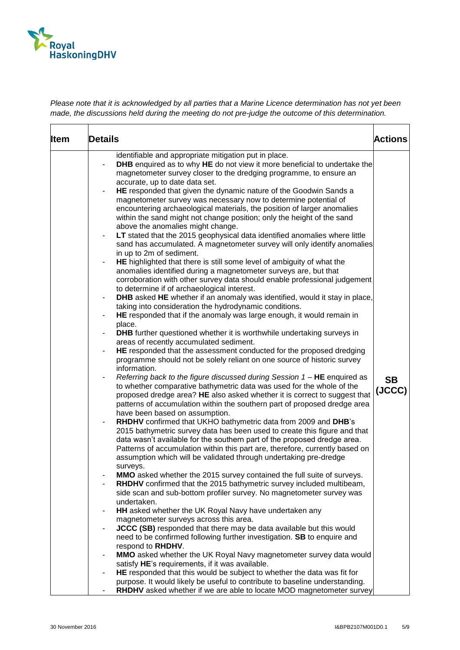

| <b>Item</b> | <b>Details</b>                                                                                                                                                                                                                                                                                                                                                                    | <b>Actions</b> |
|-------------|-----------------------------------------------------------------------------------------------------------------------------------------------------------------------------------------------------------------------------------------------------------------------------------------------------------------------------------------------------------------------------------|----------------|
|             | identifiable and appropriate mitigation put in place.<br><b>DHB</b> enquired as to why HE do not view it more beneficial to undertake the<br>magnetometer survey closer to the dredging programme, to ensure an<br>accurate, up to date data set.<br>HE responded that given the dynamic nature of the Goodwin Sands a<br>$\overline{\phantom{0}}$                                |                |
|             | magnetometer survey was necessary now to determine potential of<br>encountering archaeological materials, the position of larger anomalies<br>within the sand might not change position; only the height of the sand<br>above the anomalies might change.                                                                                                                         |                |
|             | LT stated that the 2015 geophysical data identified anomalies where little<br>sand has accumulated. A magnetometer survey will only identify anomalies<br>in up to 2m of sediment.<br>HE highlighted that there is still some level of ambiguity of what the                                                                                                                      |                |
|             | anomalies identified during a magnetometer surveys are, but that<br>corroboration with other survey data should enable professional judgement<br>to determine if of archaeological interest.                                                                                                                                                                                      |                |
|             | DHB asked HE whether if an anomaly was identified, would it stay in place,<br>$\blacksquare$<br>taking into consideration the hydrodynamic conditions.<br>HE responded that if the anomaly was large enough, it would remain in<br>$\overline{\phantom{a}}$                                                                                                                       |                |
|             | place.<br><b>DHB</b> further questioned whether it is worthwhile undertaking surveys in<br>areas of recently accumulated sediment.<br>HE responded that the assessment conducted for the proposed dredging                                                                                                                                                                        |                |
|             | programme should not be solely reliant on one source of historic survey<br>information.<br>Referring back to the figure discussed during Session $1 - HE$ enquired as                                                                                                                                                                                                             | <b>SB</b>      |
|             | to whether comparative bathymetric data was used for the whole of the<br>proposed dredge area? HE also asked whether it is correct to suggest that<br>patterns of accumulation within the southern part of proposed dredge area<br>have been based on assumption.                                                                                                                 | (JCCC)         |
|             | RHDHV confirmed that UKHO bathymetric data from 2009 and DHB's<br>-<br>2015 bathymetric survey data has been used to create this figure and that<br>data wasn't available for the southern part of the proposed dredge area.<br>Patterns of accumulation within this part are, therefore, currently based on<br>assumption which will be validated through undertaking pre-dredge |                |
|             | surveys.<br>MMO asked whether the 2015 survey contained the full suite of surveys.<br>RHDHV confirmed that the 2015 bathymetric survey included multibeam,<br>side scan and sub-bottom profiler survey. No magnetometer survey was                                                                                                                                                |                |
|             | undertaken.<br>HH asked whether the UK Royal Navy have undertaken any<br>-<br>magnetometer surveys across this area.                                                                                                                                                                                                                                                              |                |
|             | JCCC (SB) responded that there may be data available but this would<br>need to be confirmed following further investigation. SB to enquire and<br>respond to RHDHV.                                                                                                                                                                                                               |                |
|             | MMO asked whether the UK Royal Navy magnetometer survey data would<br>satisfy HE's requirements, if it was available.<br>HE responded that this would be subject to whether the data was fit for                                                                                                                                                                                  |                |
|             | purpose. It would likely be useful to contribute to baseline understanding.<br>RHDHV asked whether if we are able to locate MOD magnetometer survey                                                                                                                                                                                                                               |                |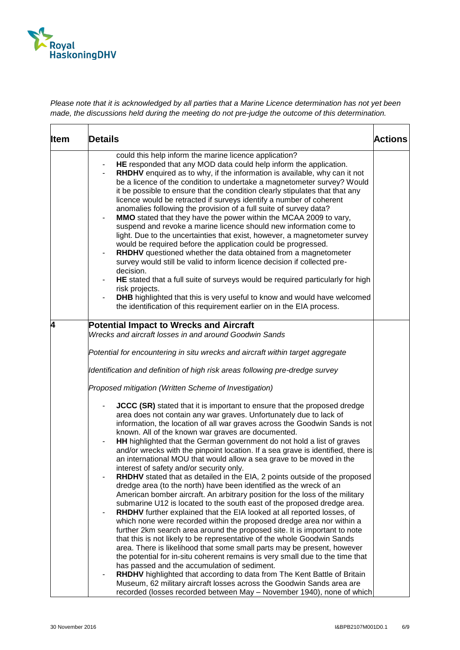

| <b>Item</b> | Details                                                                                                                                                                                                                                                                                                                                                                                                                                                                                                                                                                                                                                                                                                                                                                                                                                                                                                                                                                                                                                                                                                                                                                                                                                                                                                                                                                                                                                                                                                                                                                                                                                                                                                                               | Actions |
|-------------|---------------------------------------------------------------------------------------------------------------------------------------------------------------------------------------------------------------------------------------------------------------------------------------------------------------------------------------------------------------------------------------------------------------------------------------------------------------------------------------------------------------------------------------------------------------------------------------------------------------------------------------------------------------------------------------------------------------------------------------------------------------------------------------------------------------------------------------------------------------------------------------------------------------------------------------------------------------------------------------------------------------------------------------------------------------------------------------------------------------------------------------------------------------------------------------------------------------------------------------------------------------------------------------------------------------------------------------------------------------------------------------------------------------------------------------------------------------------------------------------------------------------------------------------------------------------------------------------------------------------------------------------------------------------------------------------------------------------------------------|---------|
|             | could this help inform the marine licence application?<br>HE responded that any MOD data could help inform the application.<br>RHDHV enquired as to why, if the information is available, why can it not<br>$\overline{\phantom{a}}$<br>be a licence of the condition to undertake a magnetometer survey? Would<br>it be possible to ensure that the condition clearly stipulates that that any<br>licence would be retracted if surveys identify a number of coherent<br>anomalies following the provision of a full suite of survey data?<br>MMO stated that they have the power within the MCAA 2009 to vary,<br>suspend and revoke a marine licence should new information come to<br>light. Due to the uncertainties that exist, however, a magnetometer survey<br>would be required before the application could be progressed.<br><b>RHDHV</b> questioned whether the data obtained from a magnetometer<br>survey would still be valid to inform licence decision if collected pre-<br>decision.<br>HE stated that a full suite of surveys would be required particularly for high<br>risk projects.<br><b>DHB</b> highlighted that this is very useful to know and would have welcomed<br>the identification of this requirement earlier on in the EIA process.                                                                                                                                                                                                                                                                                                                                                                                                                                                               |         |
| 4           | <b>Potential Impact to Wrecks and Aircraft</b><br>Wrecks and aircraft losses in and around Goodwin Sands<br>Potential for encountering in situ wrecks and aircraft within target aggregate<br>Identification and definition of high risk areas following pre-dredge survey<br>Proposed mitigation (Written Scheme of Investigation)<br><b>JCCC (SR)</b> stated that it is important to ensure that the proposed dredge<br>area does not contain any war graves. Unfortunately due to lack of<br>information, the location of all war graves across the Goodwin Sands is not<br>known. All of the known war graves are documented.<br>HH highlighted that the German government do not hold a list of graves<br>$\overline{\phantom{a}}$<br>and/or wrecks with the pinpoint location. If a sea grave is identified, there is<br>an international MOU that would allow a sea grave to be moved in the<br>interest of safety and/or security only.<br>RHDHV stated that as detailed in the EIA, 2 points outside of the proposed<br>dredge area (to the north) have been identified as the wreck of an<br>American bomber aircraft. An arbitrary position for the loss of the military<br>submarine U12 is located to the south east of the proposed dredge area.<br>RHDHV further explained that the EIA looked at all reported losses, of<br>which none were recorded within the proposed dredge area nor within a<br>further 2km search area around the proposed site. It is important to note<br>that this is not likely to be representative of the whole Goodwin Sands<br>area. There is likelihood that some small parts may be present, however<br>the potential for in-situ coherent remains is very small due to the time that |         |
|             | has passed and the accumulation of sediment.<br>RHDHV highlighted that according to data from The Kent Battle of Britain<br>$\blacksquare$<br>Museum, 62 military aircraft losses across the Goodwin Sands area are<br>recorded (losses recorded between May - November 1940), none of which                                                                                                                                                                                                                                                                                                                                                                                                                                                                                                                                                                                                                                                                                                                                                                                                                                                                                                                                                                                                                                                                                                                                                                                                                                                                                                                                                                                                                                          |         |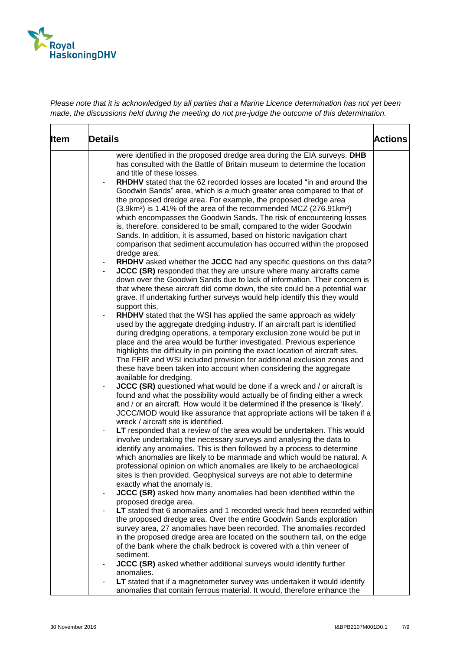

| <b>Details</b>                                                                                                                                                                                                                                                                                                                                                                                                                                                                                                                                                                                                                                                                                                                                                                                                                                                                                                                                                                                                                                                                                                                                                                                                                                                                                                                                                                                                                                                                                                                                                                                                                                                                                                                                                                                                                                                                                                                                                                     | <b>Actions</b>                                                                                                                                                                                                                                                   |
|------------------------------------------------------------------------------------------------------------------------------------------------------------------------------------------------------------------------------------------------------------------------------------------------------------------------------------------------------------------------------------------------------------------------------------------------------------------------------------------------------------------------------------------------------------------------------------------------------------------------------------------------------------------------------------------------------------------------------------------------------------------------------------------------------------------------------------------------------------------------------------------------------------------------------------------------------------------------------------------------------------------------------------------------------------------------------------------------------------------------------------------------------------------------------------------------------------------------------------------------------------------------------------------------------------------------------------------------------------------------------------------------------------------------------------------------------------------------------------------------------------------------------------------------------------------------------------------------------------------------------------------------------------------------------------------------------------------------------------------------------------------------------------------------------------------------------------------------------------------------------------------------------------------------------------------------------------------------------------|------------------------------------------------------------------------------------------------------------------------------------------------------------------------------------------------------------------------------------------------------------------|
| were identified in the proposed dredge area during the EIA surveys. DHB<br>has consulted with the Battle of Britain museum to determine the location<br>and title of these losses.<br><b>RHDHV</b> stated that the 62 recorded losses are located "in and around the<br>Goodwin Sands" area, which is a much greater area compared to that of<br>the proposed dredge area. For example, the proposed dredge area<br>(3.9km <sup>2</sup> ) is 1.41% of the area of the recommended MCZ (276.91km <sup>2</sup> )<br>which encompasses the Goodwin Sands. The risk of encountering losses<br>is, therefore, considered to be small, compared to the wider Goodwin<br>Sands. In addition, it is assumed, based on historic navigation chart<br>comparison that sediment accumulation has occurred within the proposed<br>dredge area.<br>RHDHV asked whether the JCCC had any specific questions on this data?<br><b>JCCC (SR)</b> responded that they are unsure where many aircrafts came<br>down over the Goodwin Sands due to lack of information. Their concern is<br>that where these aircraft did come down, the site could be a potential war<br>grave. If undertaking further surveys would help identify this they would<br>support this.<br>RHDHV stated that the WSI has applied the same approach as widely<br>used by the aggregate dredging industry. If an aircraft part is identified<br>during dredging operations, a temporary exclusion zone would be put in<br>place and the area would be further investigated. Previous experience<br>highlights the difficulty in pin pointing the exact location of aircraft sites.<br>The FEIR and WSI included provision for additional exclusion zones and<br>these have been taken into account when considering the aggregate<br>available for dredging.<br><b>JCCC (SR)</b> questioned what would be done if a wreck and / or aircraft is<br>found and what the possibility would actually be of finding either a wreck |                                                                                                                                                                                                                                                                  |
| and / or an aircraft. How would it be determined if the presence is 'likely'.<br>JCCC/MOD would like assurance that appropriate actions will be taken if a<br>wreck / aircraft site is identified.<br>LT responded that a review of the area would be undertaken. This would<br>involve undertaking the necessary surveys and analysing the data to<br>identify any anomalies. This is then followed by a process to determine<br>which anomalies are likely to be manmade and which would be natural. A<br>professional opinion on which anomalies are likely to be archaeological<br>sites is then provided. Geophysical surveys are not able to determine                                                                                                                                                                                                                                                                                                                                                                                                                                                                                                                                                                                                                                                                                                                                                                                                                                                                                                                                                                                                                                                                                                                                                                                                                                                                                                                       |                                                                                                                                                                                                                                                                  |
| JCCC (SR) asked how many anomalies had been identified within the<br>proposed dredge area.<br>the proposed dredge area. Over the entire Goodwin Sands exploration<br>survey area, 27 anomalies have been recorded. The anomalies recorded<br>in the proposed dredge area are located on the southern tail, on the edge<br>of the bank where the chalk bedrock is covered with a thin veneer of<br>sediment.<br><b>JCCC (SR)</b> asked whether additional surveys would identify further<br>anomalies.                                                                                                                                                                                                                                                                                                                                                                                                                                                                                                                                                                                                                                                                                                                                                                                                                                                                                                                                                                                                                                                                                                                                                                                                                                                                                                                                                                                                                                                                              |                                                                                                                                                                                                                                                                  |
|                                                                                                                                                                                                                                                                                                                                                                                                                                                                                                                                                                                                                                                                                                                                                                                                                                                                                                                                                                                                                                                                                                                                                                                                                                                                                                                                                                                                                                                                                                                                                                                                                                                                                                                                                                                                                                                                                                                                                                                    | exactly what the anomaly is.<br>LT stated that 6 anomalies and 1 recorded wreck had been recorded within<br>LT stated that if a magnetometer survey was undertaken it would identify<br>anomalies that contain ferrous material. It would, therefore enhance the |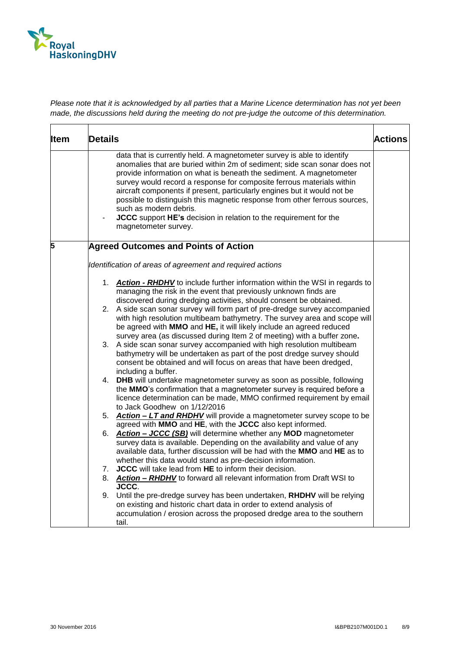

| <b>Item</b> | <b>Details</b>                                                                                                                                                                                                                                                                                                                                                                                                                                                                                                                                                                                                   | <b>Actions</b> |
|-------------|------------------------------------------------------------------------------------------------------------------------------------------------------------------------------------------------------------------------------------------------------------------------------------------------------------------------------------------------------------------------------------------------------------------------------------------------------------------------------------------------------------------------------------------------------------------------------------------------------------------|----------------|
|             | data that is currently held. A magnetometer survey is able to identify<br>anomalies that are buried within 2m of sediment; side scan sonar does not<br>provide information on what is beneath the sediment. A magnetometer<br>survey would record a response for composite ferrous materials within<br>aircraft components if present, particularly engines but it would not be<br>possible to distinguish this magnetic response from other ferrous sources,<br>such as modern debris.<br>JCCC support HE's decision in relation to the requirement for the<br>$\overline{\phantom{0}}$<br>magnetometer survey. |                |
| 5           | <b>Agreed Outcomes and Points of Action</b>                                                                                                                                                                                                                                                                                                                                                                                                                                                                                                                                                                      |                |
|             | Identification of areas of agreement and required actions                                                                                                                                                                                                                                                                                                                                                                                                                                                                                                                                                        |                |
|             | 1. Action - RHDHV to include further information within the WSI in regards to<br>managing the risk in the event that previously unknown finds are                                                                                                                                                                                                                                                                                                                                                                                                                                                                |                |
|             | discovered during dredging activities, should consent be obtained.<br>2. A side scan sonar survey will form part of pre-dredge survey accompanied<br>with high resolution multibeam bathymetry. The survey area and scope will<br>be agreed with MMO and HE, it will likely include an agreed reduced                                                                                                                                                                                                                                                                                                            |                |
|             | survey area (as discussed during Item 2 of meeting) with a buffer zone.<br>A side scan sonar survey accompanied with high resolution multibeam<br>3.<br>bathymetry will be undertaken as part of the post dredge survey should<br>consent be obtained and will focus on areas that have been dredged,<br>including a buffer.                                                                                                                                                                                                                                                                                     |                |
|             | <b>DHB</b> will undertake magnetometer survey as soon as possible, following<br>4.<br>the MMO's confirmation that a magnetometer survey is required before a<br>licence determination can be made, MMO confirmed requirement by email<br>to Jack Goodhew on 1/12/2016                                                                                                                                                                                                                                                                                                                                            |                |
|             | 5. Action - LT and RHDHV will provide a magnetometer survey scope to be<br>agreed with MMO and HE, with the JCCC also kept informed.                                                                                                                                                                                                                                                                                                                                                                                                                                                                             |                |
|             | 6. Action - JCCC (SB) will determine whether any MOD magnetometer<br>survey data is available. Depending on the availability and value of any<br>available data, further discussion will be had with the MMO and HE as to<br>whether this data would stand as pre-decision information.                                                                                                                                                                                                                                                                                                                          |                |
|             | JCCC will take lead from HE to inform their decision.<br>7.                                                                                                                                                                                                                                                                                                                                                                                                                                                                                                                                                      |                |
|             | 8. Action - RHDHV to forward all relevant information from Draft WSI to<br><b>JCCC.</b>                                                                                                                                                                                                                                                                                                                                                                                                                                                                                                                          |                |
|             | 9. Until the pre-dredge survey has been undertaken, RHDHV will be relying<br>on existing and historic chart data in order to extend analysis of<br>accumulation / erosion across the proposed dredge area to the southern<br>tail.                                                                                                                                                                                                                                                                                                                                                                               |                |